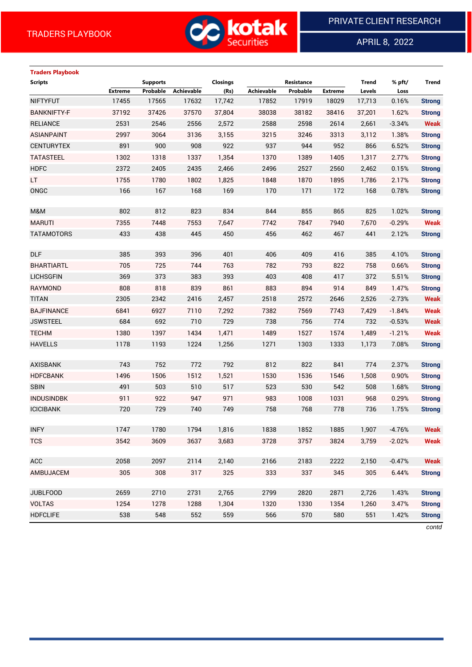

APRIL 8, 2022

 $\overline{a}$ 

# **Traders Playbook Scripts Supports Closings Resistance Trend % pft/ Trend Extreme Probable Achievable (Rs) Achievable Probable Extreme Levels Loss** NIFTYFUT 17455 17565 17632 17,742 17852 17919 18029 17,713 0.16% **Strong** BANKNIFTY-F 37192 37426 37570 37,804 38038 38182 38416 37,201 1.62% **Strong** RELIANCE 2531 2546 2556 2,572 2588 2598 2614 2,661 -3.34% **Weak** ASIANPAINT 2997 3064 3136 3,155 3215 3246 3313 3,112 1.38% **Strong** CENTURYTEX 891 900 908 922 937 944 952 866 6.52% **Strong** TATASTEEL 1302 1318 1337 1,354 1370 1389 1405 1,317 2.77% **Strong** HDFC 2372 2405 2435 2,466 2496 2527 2560 2,462 0.15% **Strong** LT 1755 1780 1802 1,825 1848 1870 1895 1,786 2.17% **Strong** ONGC 166 167 168 169 170 171 172 168 0.78% **Strong** M&M 802 812 823 834 844 855 865 825 1.02% **Strong** MARUTI 7355 7448 7553 7,647 7742 7847 7940 7,670 -0.29% **Weak** TATAMOTORS 433 438 445 450 456 462 467 441 2.12% **Strong** DLF 385 393 396 401 406 409 416 385 4.10% **Strong** BHARTIARTL 705 725 744 763 782 793 822 758 0.66% **Strong** LICHSGFIN 369 373 383 393 403 408 417 372 5.51% **Strong** RAYMOND 808 818 839 861 883 894 914 849 1.47% **Strong** TITAN 2305 2342 2416 2,457 2518 2572 2646 2,526 -2.73% **Weak** BAJFINANCE 6841 6927 7110 7,292 7382 7569 7743 7,429 -1.84% **Weak** JSWSTEEL 684 692 710 729 738 756 774 732 -0.53% **Weak** TECHM 1380 1397 1434 1,471 1489 1527 1574 1,489 -1.21% **Weak** HAVELLS 1178 1193 1224 1,256 1271 1303 1333 1,173 7.08% **Strong** AXISBANK 743 752 772 792 812 822 841 774 2.37% **Strong** HDFCBANK 1496 1506 1512 1,521 1530 1536 1546 1,508 0.90% **Strong** SBIN 491 503 510 517 523 530 542 508 1.68% **Strong** INDUSINDBK 911 922 947 971 983 1008 1031 968 0.29% **Strong** ICICIBANK 720 729 740 749 758 768 778 736 1.75% **Strong** INFY 1747 1780 1794 1,816 1838 1852 1885 1,907 -4.76% **Weak** TCS 3542 3609 3637 3,683 3728 3757 3824 3,759 -2.02% **Weak** ACC 2058 2097 2114 2,140 2166 2183 2222 2,150 -0.47% **Weak** AMBUJACEM 305 308 317 325 333 337 345 305 6.44% **Strong** JUBLFOOD 2659 2710 2731 2,765 2799 2820 2871 2,726 1.43% **Strong** VOLTAS 1254 1278 1288 1,304 1320 1330 1354 1,260 3.47% **Strong** HDFCLIFE 538 548 552 559 566 570 580 551 1.42% **Strong**

*contd*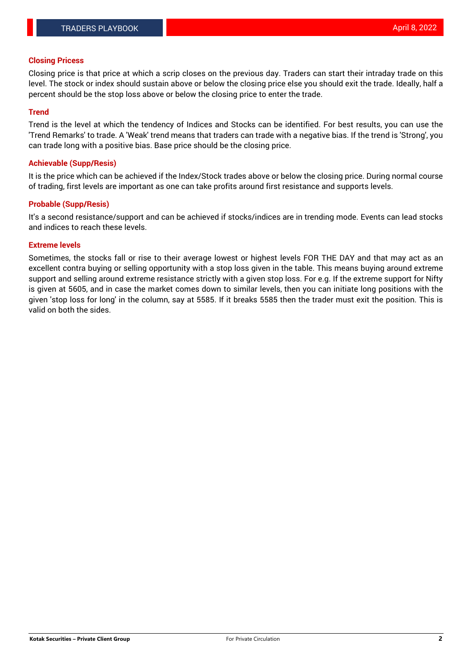#### **Closing Pricess**

Closing price is that price at which a scrip closes on the previous day. Traders can start their intraday trade on this level. The stock or index should sustain above or below the closing price else you should exit the trade. Ideally, half a percent should be the stop loss above or below the closing price to enter the trade.

#### **Trend**

Trend is the level at which the tendency of Indices and Stocks can be identified. For best results, you can use the 'Trend Remarks' to trade. A 'Weak' trend means that traders can trade with a negative bias. If the trend is 'Strong', you can trade long with a positive bias. Base price should be the closing price.

#### **Achievable (Supp/Resis)**

It is the price which can be achieved if the Index/Stock trades above or below the closing price. During normal course of trading, first levels are important as one can take profits around first resistance and supports levels.

### **Probable (Supp/Resis)**

It's a second resistance/support and can be achieved if stocks/indices are in trending mode. Events can lead stocks and indices to reach these levels.

#### **Extreme levels**

Sometimes, the stocks fall or rise to their average lowest or highest levels FOR THE DAY and that may act as an excellent contra buying or selling opportunity with a stop loss given in the table. This means buying around extreme support and selling around extreme resistance strictly with a given stop loss. For e.g. If the extreme support for Nifty is given at 5605, and in case the market comes down to similar levels, then you can initiate long positions with the given 'stop loss for long' in the column, say at 5585. If it breaks 5585 then the trader must exit the position. This is valid on both the sides.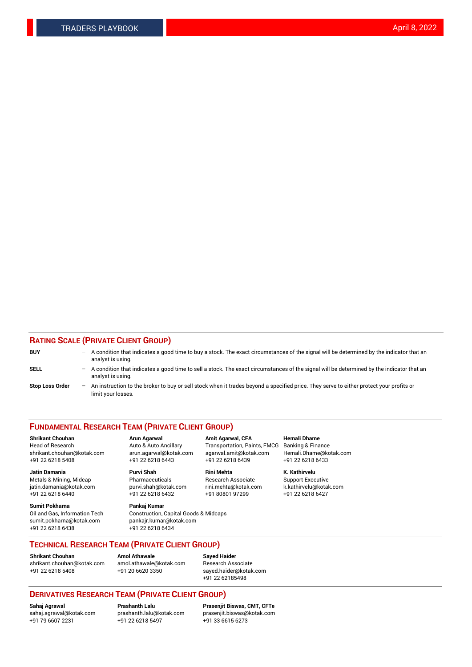### **RATING SCALE (PRIVATE CLIENT GROUP)**

| <b>BUY</b>             | -                        | A condition that indicates a good time to buy a stock. The exact circumstances of the signal will be determined by the indicator that an<br>analyst is using.  |
|------------------------|--------------------------|----------------------------------------------------------------------------------------------------------------------------------------------------------------|
| SELL                   | -                        | A condition that indicates a good time to sell a stock. The exact circumstances of the signal will be determined by the indicator that an<br>analyst is using. |
| <b>Stop Loss Order</b> | $\overline{\phantom{m}}$ | An instruction to the broker to buy or sell stock when it trades beyond a specified price. They serve to either protect your profits or<br>limit your losses.  |

#### **FUNDAMENTAL RESEARCH TEAM (PRIVATE CLIENT GROUP)**

**Jatin Damania Purvi Shah Rini Mehta K. Kathirvelu** Metals & Mining, Midcap **Pharmaceuticals** Research Associate Support Executive jatin.damania@kotak.com [purvi.shah@kotak.com](mailto:purvi.shah@kotak.com) rini.mehta@kotak.com [k.kathirvelu@kotak.com](mailto:k.kathirvelu@kotak.com) +91 22 6218 6440 +91 22 6218 6432

**Sumit Pokharna Pankaj Kumar** sumit.pokharna@kotak.com pankajr.kumar@kotak.com +91 22 6218 6438 +91 22 6218 6434

**Shrikant Chouhan Arun Agarwal Amit Agarwal, CFA Hemali Dhame**

Oil and Gas, Information Tech Construction, Capital Goods & Midcaps

Head of Research Auto & Auto Ancillary Transportation, Paints, FMCG Banking & Finance shrikant.chouhan@kotak.com arun.agarwal@kotak.com agarwal.amit@kotak.com Hemali.Dhame@kotak.com +91 22 6218 5408 +91 22 6218 6443 +91 22 6218 6439 +91 22 6218 6433

**TECHNICAL RESEARCH TEAM (PRIVATE CLIENT GROUP)**

[shrikant.chouhan@kotak.com](mailto:shrikant.chouhan@kotak.com) [amol.athawale@kotak.com](mailto:amol.athawale@kotak.com) Research Associate +91 22 6218 5408 +91 20 6620 3350 [sayed.haider@kotak.com](mailto:sayed.haider@kotak.com)

**Shrikant Chouhan Amol Athawale Sayed Haider**

+91 22 62185498

# **DERIVATIVES RESEARCH TEAM (PRIVATE CLIENT GROUP)**

 $+91$  22 6218 5497

**Sahaj Agrawal Prashanth Lalu Prasenjit Biswas, CMT, CFTe** [sahaj.agrawal@kotak.com](mailto:sahaj.agrawal@kotak.com) [prashanth.lalu@kotak.com](mailto:prashanth.lalu@kotak.com) [prasenjit.biswas@kotak.com](mailto:prasenjit.biswas@kotak.com)